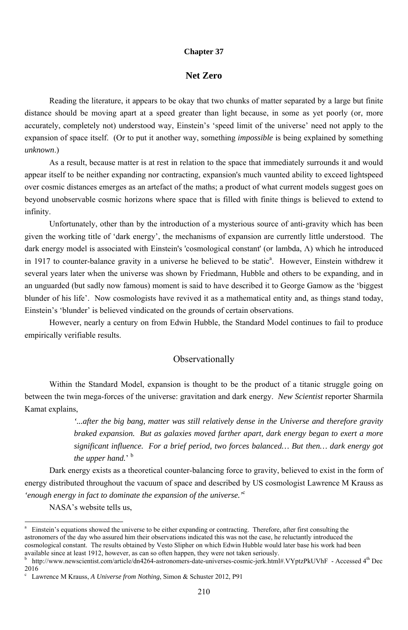#### **Chapter 37**

#### **Net Zero**

Reading the literature, it appears to be okay that two chunks of matter separated by a large but finite distance should be moving apart at a speed greater than light because, in some as yet poorly (or, more accurately, completely not) understood way, Einstein's 'speed limit of the universe' need not apply to the expansion of space itself. (Or to put it another way, something *impossible* is being explained by something *unknown*.)

As a result, because matter is at rest in relation to the space that immediately surrounds it and would appear itself to be neither expanding nor contracting, expansion's much vaunted ability to exceed lightspeed over cosmic distances emerges as an artefact of the maths; a product of what current models suggest goes on beyond unobservable cosmic horizons where space that is filled with finite things is believed to extend to infinity.

Unfortunately, other than by the introduction of a mysterious source of anti-gravity which has been given the working title of 'dark energy', the mechanisms of expansion are currently little understood. The dark energy model is associated with Einstein's 'cosmological constant' (or lambda, Λ) which he introduced in 1917 to counter-balance gravity in a universe he believed to be static<sup>a</sup>. However, Einstein withdrew it several years later when the universe was shown by Friedmann, Hubble and others to be expanding, and in an unguarded (but sadly now famous) moment is said to have described it to George Gamow as the 'biggest blunder of his life'. Now cosmologists have revived it as a mathematical entity and, as things stand today, Einstein's 'blunder' is believed vindicated on the grounds of certain observations.

However, nearly a century on from Edwin Hubble, the Standard Model continues to fail to produce empirically verifiable results.

### Observationally

Within the Standard Model, expansion is thought to be the product of a titanic struggle going on between the twin mega-forces of the universe: gravitation and dark energy. *New Scientist* reporter Sharmila Kamat explains,

> *'...after the big bang, matter was still relatively dense in the Universe and therefore gravity braked expansion. But as galaxies moved farther apart, dark energy began to exert a more significant influence. For a brief period, two forces balanced… But then… dark energy got the upper hand.*' <sup>b</sup>

Dark energy exists as a theoretical counter-balancing force to gravity, believed to exist in the form of energy distributed throughout the vacuum of space and described by US cosmologist Lawrence M Krauss as *'enough energy in fact to dominate the expansion of the universe.'*<sup>c</sup> NASA's website tells us,

a Einstein's equations showed the universe to be either expanding or contracting. Therefore, after first consulting the astronomers of the day who assured him their observations indicated this was not the case, he reluctantly introduced the cosmological constant. The results obtained by Vesto Slipher on which Edwin Hubble would later base his work had been available since at least 1912, however, as can so often happen, they were not taken seriously.

b http://www.newscientist.com/article/dn4264-astronomers-date-universes-cosmic-jerk.html#.VYptzPkUVhF - Accessed 4th Dec 2016

c Lawrence M Krauss, *A Universe from Nothing*, Simon & Schuster 2012, P91

<sup>-</sup>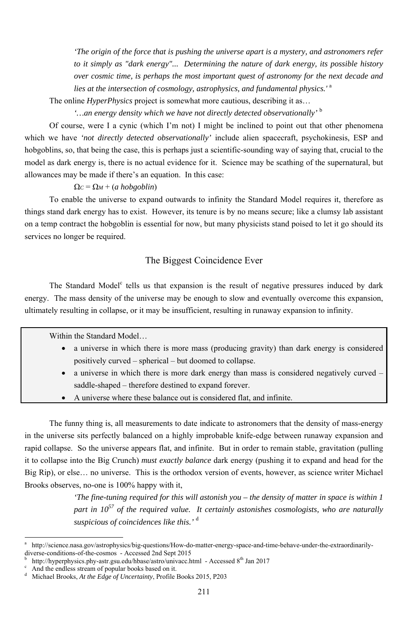*'The origin of the force that is pushing the universe apart is a mystery, and astronomers refer to it simply as "dark energy"... Determining the nature of dark energy, its possible history over cosmic time, is perhaps the most important quest of astronomy for the next decade and lies at the intersection of cosmology, astrophysics, and fundamental physics.'* <sup>a</sup>

The online *HyperPhysics* project is somewhat more cautious, describing it as…

 *'…an energy density which we have not directly detected observationally'* <sup>b</sup>

Of course, were I a cynic (which I'm not) I might be inclined to point out that other phenomena which we have *'not directly detected observationally'* include alien spacecraft, psychokinesis, ESP and hobgoblins, so, that being the case, this is perhaps just a scientific-sounding way of saying that, crucial to the model as dark energy is, there is no actual evidence for it. Science may be scathing of the supernatural, but allowances may be made if there's an equation. In this case:

#### $\Omega_c = \Omega_M + (a \; h \cdot \text{opg} \cdot \text{oblin})$

The Standard Model<sup>c</sup> tells us that expansion is the result of negative pressures induced by dark energy. The mass density of the universe may be enough to slow and eventually overcome this expansion, ultimately resulting in collapse, or it may be insufficient, resulting in runaway expansion to infinity.

To enable the universe to expand outwards to infinity the Standard Model requires it, therefore as things stand dark energy has to exist. However, its tenure is by no means secure; like a clumsy lab assistant on a temp contract the hobgoblin is essential for now, but many physicists stand poised to let it go should its services no longer be required.

# The Biggest Coincidence Ever

b http://hyperphysics.phy-astr.gsu.edu/hbase/astro/univacc.html - Accessed  $8<sup>th</sup>$  Jan 2017

Within the Standard Model…

- a universe in which there is more mass (producing gravity) than dark energy is considered positively curved – spherical – but doomed to collapse.
- a universe in which there is more dark energy than mass is considered negatively curved saddle-shaped – therefore destined to expand forever.
- A universe where these balance out is considered flat, and infinite.

The funny thing is, all measurements to date indicate to astronomers that the density of mass-energy in the universe sits perfectly balanced on a highly improbable knife-edge between runaway expansion and rapid collapse. So the universe appears flat, and infinite. But in order to remain stable, gravitation (pulling it to collapse into the Big Crunch) *must exactly balance* dark energy (pushing it to expand and head for the Big Rip), or else… no universe. This is the orthodox version of events, however, as science writer Michael Brooks observes, no-one is 100% happy with it,

> *'The fine-tuning required for this will astonish you – the density of matter in space is within 1 part in 10<sup>57</sup> of the required value. It certainly astonishes cosmologists, who are naturally suspicious of coincidences like this.'* <sup>d</sup>

And the endless stream of popular books based on it.

<sup>-</sup>

d Michael Brooks, *At the Edge of Uncertainty*, Profile Books 2015, P203

a http://science.nasa.gov/astrophysics/big-questions/How-do-matter-energy-space-and-time-behave-under-the-extraordinarilydiverse-conditions-of-the-cosmos - Accessed 2nd Sept 2015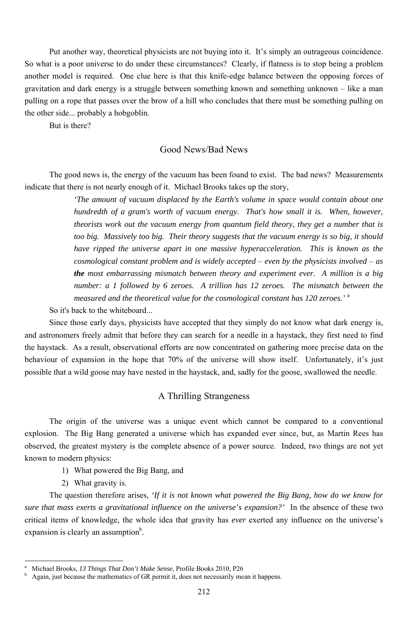Put another way, theoretical physicists are not buying into it. It's simply an outrageous coincidence. So what is a poor universe to do under these circumstances? Clearly, if flatness is to stop being a problem another model is required. One clue here is that this knife-edge balance between the opposing forces of gravitation and dark energy is a struggle between something known and something unknown – like a man pulling on a rope that passes over the brow of a hill who concludes that there must be something pulling on the other side... probably a hobgoblin.

But is there?

#### Good News/Bad News

The good news is, the energy of the vacuum has been found to exist. The bad news? Measurements indicate that there is not nearly enough of it. Michael Brooks takes up the story,

> *'The amount of vacuum displaced by the Earth's volume in space would contain about one hundredth of a gram's worth of vacuum energy. That's how small it is. When, however, theorists work out the vacuum energy from quantum field theory, they get a number that is too big. Massively too big. Their theory suggests that the vacuum energy is so big, it should have ripped the universe apart in one massive hyperacceleration. This is known as the cosmological constant problem and is widely accepted* – *even by the physicists involved* – *as the most embarrassing mismatch between theory and experiment ever. A million is a big number: a 1 followed by 6 zeroes. A trillion has 12 zeroes. The mismatch between the measured and the theoretical value for the cosmological constant has 120 zeroes.'* <sup>a</sup>

The question therefore arises, *'If it is not known what powered the Big Bang, how do we know for sure that mass exerts a gravitational influence on the universe's expansion?'* In the absence of these two critical items of knowledge, the whole idea that gravity has *ever* exerted any influence on the universe's expansion is clearly an assumption<sup>b</sup>.

So it's back to the whiteboard...

Since those early days, physicists have accepted that they simply do not know what dark energy is, and astronomers freely admit that before they can search for a needle in a haystack, they first need to find the haystack. As a result, observational efforts are now concentrated on gathering more precise data on the behaviour of expansion in the hope that 70% of the universe will show itself. Unfortunately, it's just possible that a wild goose may have nested in the haystack, and, sadly for the goose, swallowed the needle.

# A Thrilling Strangeness

The origin of the universe was a unique event which cannot be compared to a conventional explosion. The Big Bang generated a universe which has expanded ever since, but, as Martin Rees has observed, the greatest mystery is the complete absence of a power source. Indeed, two things are not yet known to modern physics:

1) What powered the Big Bang, and

2) What gravity is.

<sup>212</sup>

a Michael Brooks, *13 Things That Don't Make Sense*, Profile Books 2010, P26

b Again, just because the mathematics of GR permit it, does not necessarily mean it happens.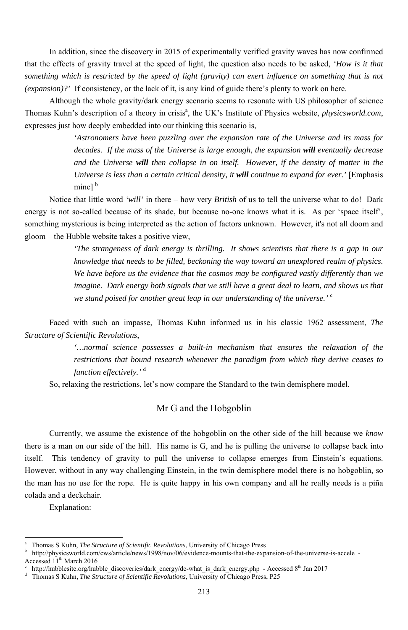In addition, since the discovery in 2015 of experimentally verified gravity waves has now confirmed that the effects of gravity travel at the speed of light, the question also needs to be asked, *'How is it that something which is restricted by the speed of light (gravity) can exert influence on something that is not (expansion)?'* If consistency, or the lack of it, is any kind of guide there's plenty to work on here.

> *'Astronomers have been puzzling over the expansion rate of the Universe and its mass for decades. If the mass of the Universe is large enough, the expansion will eventually decrease and the Universe will then collapse in on itself. However, if the density of matter in the Universe is less than a certain critical density, it will continue to expand for ever.'* [Emphasis] mine] $<sup>b</sup>$ </sup>

Although the whole gravity/dark energy scenario seems to resonate with US philosopher of science Thomas Kuhn's description of a theory in crisis<sup>a</sup>, the UK's Institute of Physics website, *physicsworld.com*, expresses just how deeply embedded into our thinking this scenario is,

Notice that little word *'will'* in there – how very *British* of us to tell the universe what to do! Dark energy is not so-called because of its shade, but because no-one knows what it is. As per 'space itself', something mysterious is being interpreted as the action of factors unknown. However, it's not all doom and gloom – the Hubble website takes a positive view,

*'The strangeness of dark energy is thrilling. It shows scientists that there is a gap in our knowledge that needs to be filled, beckoning the way toward an unexplored realm of physics. We have before us the evidence that the cosmos may be configured vastly differently than we imagine. Dark energy both signals that we still have a great deal to learn, and shows us that we stand poised for another great leap in our understanding of the universe.'* <sup>c</sup>

Faced with such an impasse, Thomas Kuhn informed us in his classic 1962 assessment, *The Structure of Scientific Revolutions*,

> *'…normal science possesses a built-in mechanism that ensures the relaxation of the restrictions that bound research whenever the paradigm from which they derive ceases to function effectively.'* <sup>d</sup>

So, relaxing the restrictions, let's now compare the Standard to the twin demisphere model.

#### Mr G and the Hobgoblin

Currently, we assume the existence of the hobgoblin on the other side of the hill because we *know* there is a man on our side of the hill. His name is G, and he is pulling the universe to collapse back into itself. This tendency of gravity to pull the universe to collapse emerges from Einstein's equations.

However, without in any way challenging Einstein, in the twin demisphere model there is no hobgoblin, so the man has no use for the rope. He is quite happy in his own company and all he really needs is a piña colada and a deckchair.

Explanation:

<sup>-</sup>

<sup>213</sup>

b http://physicsworld.com/cws/article/news/1998/nov/06/evidence-mounts-that-the-expansion-of-the-universe-is-accele - Accessed  $11^{th}$  March 2016

http://hubblesite.org/hubble\_discoveries/dark\_energy/de-what\_is\_dark\_energy.php - Accessed 8<sup>th</sup> Jan 2017

a Thomas S Kuhn, *The Structure of Scientific Revolutions*, University of Chicago Press

d Thomas S Kuhn, *The Structure of Scientific Revolutions*, University of Chicago Press, P25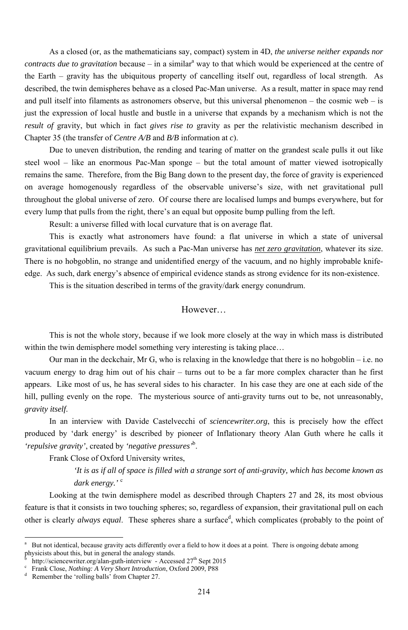As a closed (or, as the mathematicians say, compact) system in 4D, *the universe neither expands nor contracts due to gravitation* because – in a similar<sup>a</sup> way to that which would be experienced at the centre of the Earth – gravity has the ubiquitous property of cancelling itself out, regardless of local strength. As described, the twin demispheres behave as a closed Pac-Man universe. As a result, matter in space may rend and pull itself into filaments as astronomers observe, but this universal phenomenon – the cosmic web – is just the expression of local hustle and bustle in a universe that expands by a mechanism which is not the *result of* gravity, but which in fact *gives rise to* gravity as per the relativistic mechanism described in Chapter 35 (the transfer of *Centre A/B* and *B/B* information at *c*).

Due to uneven distribution, the rending and tearing of matter on the grandest scale pulls it out like steel wool – like an enormous Pac-Man sponge – but the total amount of matter viewed isotropically remains the same. Therefore, from the Big Bang down to the present day, the force of gravity is experienced on average homogenously regardless of the observable universe's size, with net gravitational pull throughout the global universe of zero. Of course there are localised lumps and bumps everywhere, but for every lump that pulls from the right, there's an equal but opposite bump pulling from the left.

Result: a universe filled with local curvature that is on average flat.

Looking at the twin demisphere model as described through Chapters 27 and 28, its most obvious feature is that it consists in two touching spheres; so, regardless of expansion, their gravitational pull on each other is clearly *always equal*. These spheres share a surface<sup>d</sup>, which complicates (probably to the point of

This is exactly what astronomers have found: a flat universe in which a state of universal gravitational equilibrium prevails. As such a Pac-Man universe has *net zero gravitation*, whatever its size. There is no hobgoblin, no strange and unidentified energy of the vacuum, and no highly improbable knifeedge. As such, dark energy's absence of empirical evidence stands as strong evidence for its non-existence.

b <sup>b</sup> http://sciencewriter.org/alan-guth-interview - Accessed 27<sup>th</sup> Sept 2015<br><sup>c</sup> Frank Close *Nothing: A Very Short Introduction* Oxford 2009 P88

This is the situation described in terms of the gravity/dark energy conundrum.

#### However…

This is not the whole story, because if we look more closely at the way in which mass is distributed within the twin demisphere model something very interesting is taking place…

Our man in the deckchair, Mr G, who is relaxing in the knowledge that there is no hobgoblin – i.e. no vacuum energy to drag him out of his chair – turns out to be a far more complex character than he first appears. Like most of us, he has several sides to his character. In his case they are one at each side of the hill, pulling evenly on the rope. The mysterious source of anti-gravity turns out to be, not unreasonably, *gravity itself*.

In an interview with Davide Castelvecchi of *sciencewriter.org*, this is precisely how the effect produced by 'dark energy' is described by pioneer of Inflationary theory Alan Guth where he calls it *'repulsive gravity'*, created by *'negative pressures'*<sup>b</sup> .

Frank Close of Oxford University writes,

*'It is as if all of space is filled with a strange sort of anti-gravity, which has become known as dark energy.'* <sup>c</sup>

d Remember the 'rolling balls' from Chapter 27.

<sup>-</sup>

<sup>&</sup>lt;sup>a</sup> But not identical, because gravity acts differently over a field to how it does at a point. There is ongoing debate among physicists about this, but in general the analogy stands.

Frank Close, *Nothing: A Very Short Introduction*, Oxford 2009, P88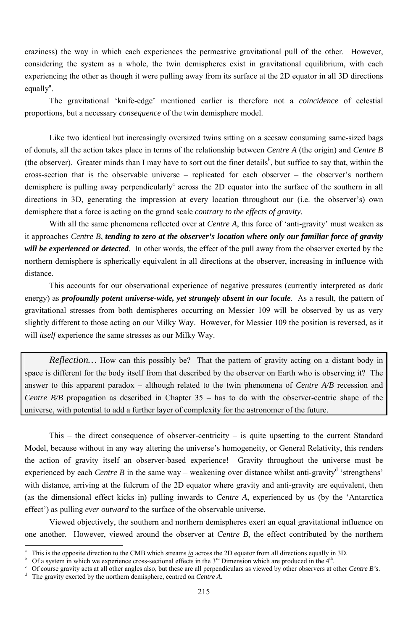craziness) the way in which each experiences the permeative gravitational pull of the other. However, considering the system as a whole, the twin demispheres exist in gravitational equilibrium, with each experiencing the other as though it were pulling away from its surface at the 2D equator in all 3D directions equally<sup>a</sup>.

The gravitational 'knife-edge' mentioned earlier is therefore not a *coincidence* of celestial proportions, but a necessary *consequence* of the twin demisphere model.

Like two identical but increasingly oversized twins sitting on a seesaw consuming same-sized bags of donuts, all the action takes place in terms of the relationship between *Centre A* (the origin) and *Centre B* (the observer). Greater minds than I may have to sort out the finer details<sup>b</sup>, but suffice to say that, within the cross-section that is the observable universe – replicated for each observer – the observer's northern demisphere is pulling away perpendicularly<sup>c</sup> across the 2D equator into the surface of the southern in all directions in 3D, generating the impression at every location throughout our (i.e. the observer's) own demisphere that a force is acting on the grand scale *contrary to the effects of gravity*.

*Reflection*... How can this possibly be? That the pattern of gravity acting on a distant body in space is different for the body itself from that described by the observer on Earth who is observing it? The answer to this apparent paradox – although related to the twin phenomena of *Centre A/B* recession and *Centre B/B* propagation as described in Chapter 35 – has to do with the observer-centric shape of the universe, with potential to add a further layer of complexity for the astronomer of the future.

With all the same phenomena reflected over at *Centre A*, this force of 'anti-gravity' must weaken as it approaches *Centre B*, *tending to zero at the observer's location where only our familiar force of gravity will be experienced or detected*. In other words, the effect of the pull away from the observer exerted by the northern demisphere is spherically equivalent in all directions at the observer, increasing in influence with distance.

This accounts for our observational experience of negative pressures (currently interpreted as dark energy) as *profoundly potent universe-wide, yet strangely absent in our locale*. As a result, the pattern of gravitational stresses from both demispheres occurring on Messier 109 will be observed by us as very slightly different to those acting on our Milky Way. However, for Messier 109 the position is reversed, as it will *itself* experience the same stresses as our Milky Way.

This – the direct consequence of observer-centricity – is quite upsetting to the current Standard Model, because without in any way altering the universe's homogeneity, or General Relativity, this renders the action of gravity itself an observer-based experience! Gravity throughout the universe must be experienced by each *Centre B* in the same way – weakening over distance whilst anti-gravity<sup>d</sup> 'strengthens' with distance, arriving at the fulcrum of the 2D equator where gravity and anti-gravity are equivalent, then (as the dimensional effect kicks in) pulling inwards to *Centre A*, experienced by us (by the 'Antarctica effect') as pulling *ever outward* to the surface of the observable universe.

Viewed objectively, the southern and northern demispheres exert an equal gravitational influence on one another. However, viewed around the observer at *Centre B*, the effect contributed by the northern

a This is the opposite direction to the CMB which streams *in* across the 2D equator from all directions equally in 3D. b <sup>b</sup> Of a system in which we experience cross-sectional effects in the  $3<sup>rd</sup>$  Dimension which are produced in the  $4<sup>th</sup>$ .<br><sup>c</sup> Of course gravity acts at all other angles also, but these are all perpendiculars as vie

<sup>&</sup>lt;sup>c</sup> Of course gravity acts at all other angles also, but these are all perpendiculars as viewed by other observers at other *Centre B's*.  $\frac{d}{dx}$  The gravity exerted by the northern demisphere, centred on *Centre A* 

The gravity exerted by the northern demisphere, centred on *Centre A*.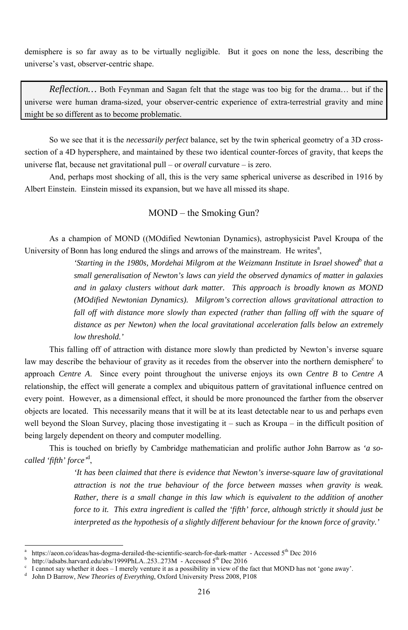demisphere is so far away as to be virtually negligible. But it goes on none the less, describing the universe's vast, observer-centric shape.

*Reflection…* Both Feynman and Sagan felt that the stage was too big for the drama… but if the universe were human drama-sized, your observer-centric experience of extra-terrestrial gravity and mine might be so different as to become problematic.

As a champion of MOND ((MOdified Newtonian Dynamics), astrophysicist Pavel Kroupa of the University of Bonn has long endured the slings and arrows of the mainstream. He writes<sup>a</sup>,

So we see that it is the *necessarily perfect* balance, set by the twin spherical geometry of a 3D crosssection of a 4D hypersphere, and maintained by these two identical counter-forces of gravity, that keeps the universe flat, because net gravitational pull – or *overall* curvature – is zero.

And, perhaps most shocking of all, this is the very same spherical universe as described in 1916 by Albert Einstein. Einstein missed its expansion, but we have all missed its shape.

> 'Starting in the 1980s, Mordehai Milgrom at the Weizmann Institute in Israel showed<sup>b</sup> that a *small generalisation of Newton's laws can yield the observed dynamics of matter in galaxies and in galaxy clusters without dark matter. This approach is broadly known as MOND (MOdified Newtonian Dynamics). Milgrom's correction allows gravitational attraction to fall off with distance more slowly than expected (rather than falling off with the square of distance as per Newton) when the local gravitational acceleration falls below an extremely low threshold.'*

MOND – the Smoking Gun?

This falling off of attraction with distance more slowly than predicted by Newton's inverse square law may describe the behaviour of gravity as it recedes from the observer into the northern demisphere<sup>c</sup> to approach *Centre A*. Since every point throughout the universe enjoys its own *Centre B* to *Centre A* relationship, the effect will generate a complex and ubiquitous pattern of gravitational influence centred on every point. However, as a dimensional effect, it should be more pronounced the farther from the observer objects are located. This necessarily means that it will be at its least detectable near to us and perhaps even well beyond the Sloan Survey, placing those investigating it – such as Kroupa – in the difficult position of being largely dependent on theory and computer modelling.

This is touched on briefly by Cambridge mathematician and prolific author John Barrow as *'a socalled 'fifth' force'*<sup>d</sup> ,

*'It has been claimed that there is evidence that Newton's inverse-square law of gravitational attraction is not the true behaviour of the force between masses when gravity is weak. Rather, there is a small change in this law which is equivalent to the addition of another force to it. This extra ingredient is called the 'fifth' force, although strictly it should just be interpreted as the hypothesis of a slightly different behaviour for the known force of gravity.'*

<sup>216</sup>

a https://aeon.co/ideas/has-dogma-derailed-the-scientific-search-for-dark-matter - Accessed 5<sup>th</sup> Dec 2016 b <sup>b</sup> http://adsabs.harvard.edu/abs/1999PhLA..253..273M - Accessed 5<sup>th</sup> Dec 2016<br><sup>c</sup> I cannot say whether it does – I merely venture it as a possibility in view of the

I cannot say whether it does – I merely venture it as a possibility in view of the fact that MOND has not 'gone away'.

d John D Barrow, *New Theories of Everything*, Oxford University Press 2008, P108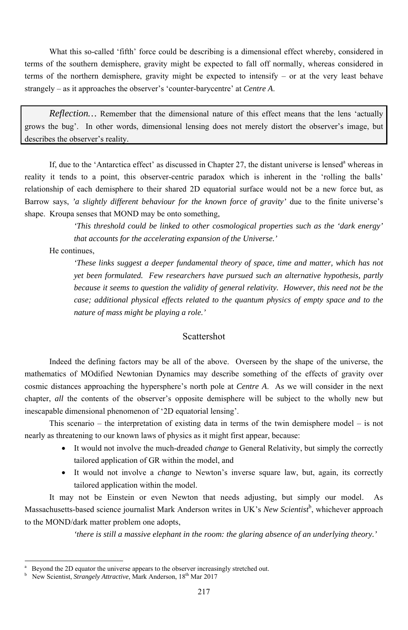What this so-called 'fifth' force could be describing is a dimensional effect whereby, considered in terms of the southern demisphere, gravity might be expected to fall off normally, whereas considered in terms of the northern demisphere, gravity might be expected to intensify – or at the very least behave strangely – as it approaches the observer's 'counter-barycentre' at *Centre A*.

*Reflection*... Remember that the dimensional nature of this effect means that the lens 'actually grows the bug'. In other words, dimensional lensing does not merely distort the observer's image, but describes the observer's reality.

If, due to the 'Antarctica effect' as discussed in Chapter 27, the distant universe is lensed<sup>a</sup> whereas in reality it tends to a point, this observer-centric paradox which is inherent in the 'rolling the balls' relationship of each demisphere to their shared 2D equatorial surface would not be a new force but, as Barrow says, *'a slightly different behaviour for the known force of gravity'* due to the finite universe's shape. Kroupa senses that MOND may be onto something,

> *'This threshold could be linked to other cosmological properties such as the 'dark energy' that accounts for the accelerating expansion of the Universe.'*

He continues,

- It would not involve the much-dreaded *change* to General Relativity, but simply the correctly tailored application of GR within the model, and
	-
- It would not involve a *change* to Newton's inverse square law, but, again, its correctly tailored application within the model.

*'These links suggest a deeper fundamental theory of space, time and matter, which has not yet been formulated. Few researchers have pursued such an alternative hypothesis, partly because it seems to question the validity of general relativity. However, this need not be the case; additional physical effects related to the quantum physics of empty space and to the nature of mass might be playing a role.'* 

-

### Scattershot

Indeed the defining factors may be all of the above. Overseen by the shape of the universe, the mathematics of MOdified Newtonian Dynamics may describe something of the effects of gravity over cosmic distances approaching the hypersphere's north pole at *Centre A*. As we will consider in the next chapter, *all* the contents of the observer's opposite demisphere will be subject to the wholly new but inescapable dimensional phenomenon of '2D equatorial lensing'.

This scenario – the interpretation of existing data in terms of the twin demisphere model – is not nearly as threatening to our known laws of physics as it might first appear, because:

It may not be Einstein or even Newton that needs adjusting, but simply our model. As Massachusetts-based science journalist Mark Anderson writes in UK's New Scientist<sup>b</sup>, whichever approach to the MOND/dark matter problem one adopts,

*'there is still a massive elephant in the room: the glaring absence of an underlying theory.'* 

<sup>217</sup>

b New Scientist, *Strangely Attractive*, Mark Anderson, 18<sup>th</sup> Mar 2017

a Beyond the 2D equator the universe appears to the observer increasingly stretched out.